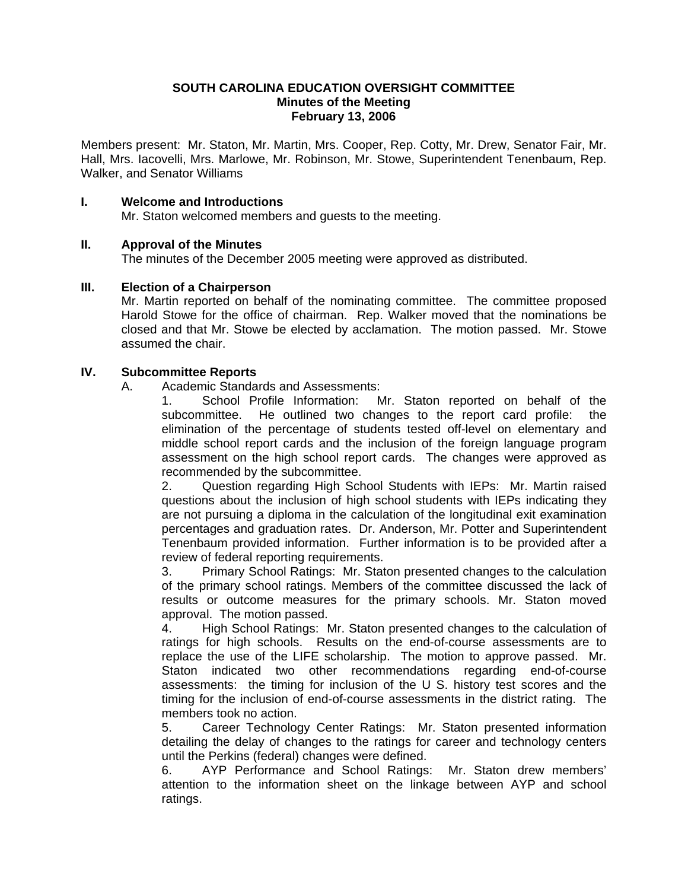#### **SOUTH CAROLINA EDUCATION OVERSIGHT COMMITTEE Minutes of the Meeting February 13, 2006**

Members present: Mr. Staton, Mr. Martin, Mrs. Cooper, Rep. Cotty, Mr. Drew, Senator Fair, Mr. Hall, Mrs. Iacovelli, Mrs. Marlowe, Mr. Robinson, Mr. Stowe, Superintendent Tenenbaum, Rep. Walker, and Senator Williams

#### **I. Welcome and Introductions**

Mr. Staton welcomed members and guests to the meeting.

#### **II. Approval of the Minutes**

The minutes of the December 2005 meeting were approved as distributed.

#### **III. Election of a Chairperson**

 Mr. Martin reported on behalf of the nominating committee. The committee proposed Harold Stowe for the office of chairman. Rep. Walker moved that the nominations be closed and that Mr. Stowe be elected by acclamation. The motion passed. Mr. Stowe assumed the chair.

#### **IV. Subcommittee Reports**

A. Academic Standards and Assessments:

 1. School Profile Information: Mr. Staton reported on behalf of the subcommittee. He outlined two changes to the report card profile: the elimination of the percentage of students tested off-level on elementary and middle school report cards and the inclusion of the foreign language program assessment on the high school report cards. The changes were approved as recommended by the subcommittee.

 2. Question regarding High School Students with IEPs: Mr. Martin raised questions about the inclusion of high school students with IEPs indicating they are not pursuing a diploma in the calculation of the longitudinal exit examination percentages and graduation rates. Dr. Anderson, Mr. Potter and Superintendent Tenenbaum provided information. Further information is to be provided after a review of federal reporting requirements.

 3. Primary School Ratings: Mr. Staton presented changes to the calculation of the primary school ratings. Members of the committee discussed the lack of results or outcome measures for the primary schools. Mr. Staton moved approval. The motion passed.

 4. High School Ratings: Mr. Staton presented changes to the calculation of ratings for high schools. Results on the end-of-course assessments are to replace the use of the LIFE scholarship. The motion to approve passed. Mr. Staton indicated two other recommendations regarding end-of-course assessments: the timing for inclusion of the U S. history test scores and the timing for the inclusion of end-of-course assessments in the district rating. The members took no action.

 5. Career Technology Center Ratings: Mr. Staton presented information detailing the delay of changes to the ratings for career and technology centers until the Perkins (federal) changes were defined.

 6. AYP Performance and School Ratings: Mr. Staton drew members' attention to the information sheet on the linkage between AYP and school ratings.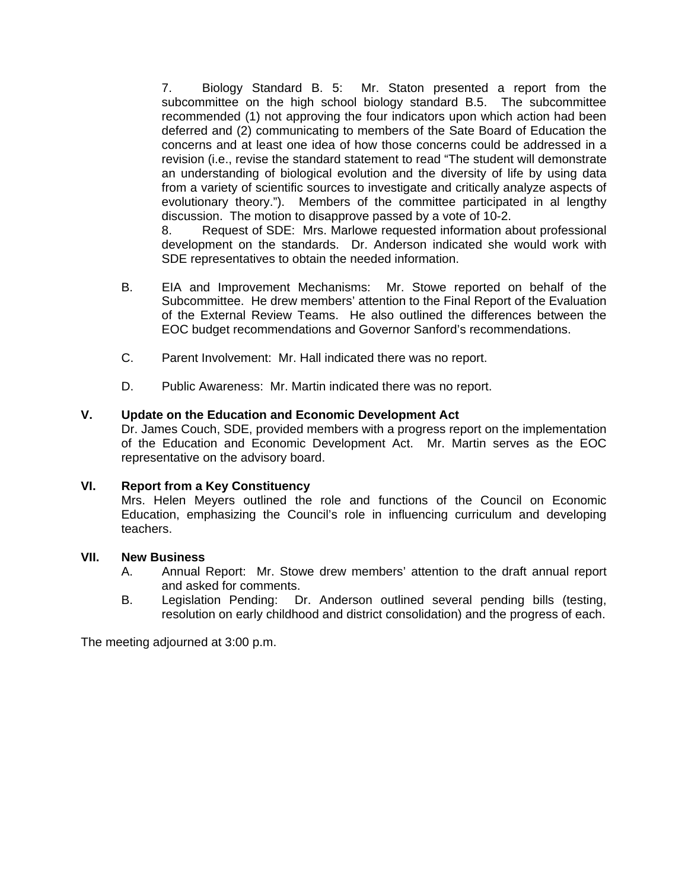7. Biology Standard B. 5: Mr. Staton presented a report from the subcommittee on the high school biology standard B.5. The subcommittee recommended (1) not approving the four indicators upon which action had been deferred and (2) communicating to members of the Sate Board of Education the concerns and at least one idea of how those concerns could be addressed in a revision (i.e., revise the standard statement to read "The student will demonstrate an understanding of biological evolution and the diversity of life by using data from a variety of scientific sources to investigate and critically analyze aspects of evolutionary theory."). Members of the committee participated in al lengthy discussion. The motion to disapprove passed by a vote of 10-2.

 8. Request of SDE: Mrs. Marlowe requested information about professional development on the standards. Dr. Anderson indicated she would work with SDE representatives to obtain the needed information.

- B. EIA and Improvement Mechanisms: Mr. Stowe reported on behalf of the Subcommittee. He drew members' attention to the Final Report of the Evaluation of the External Review Teams. He also outlined the differences between the EOC budget recommendations and Governor Sanford's recommendations.
- C. Parent Involvement: Mr. Hall indicated there was no report.
- D. Public Awareness: Mr. Martin indicated there was no report.

#### **V. Update on the Education and Economic Development Act**

Dr. James Couch, SDE, provided members with a progress report on the implementation of the Education and Economic Development Act. Mr. Martin serves as the EOC representative on the advisory board.

#### **VI. Report from a Key Constituency**

Mrs. Helen Meyers outlined the role and functions of the Council on Economic Education, emphasizing the Council's role in influencing curriculum and developing teachers.

#### **VII. New Business**

- A. Annual Report: Mr. Stowe drew members' attention to the draft annual report and asked for comments.
- B. Legislation Pending: Dr. Anderson outlined several pending bills (testing, resolution on early childhood and district consolidation) and the progress of each.

The meeting adjourned at 3:00 p.m.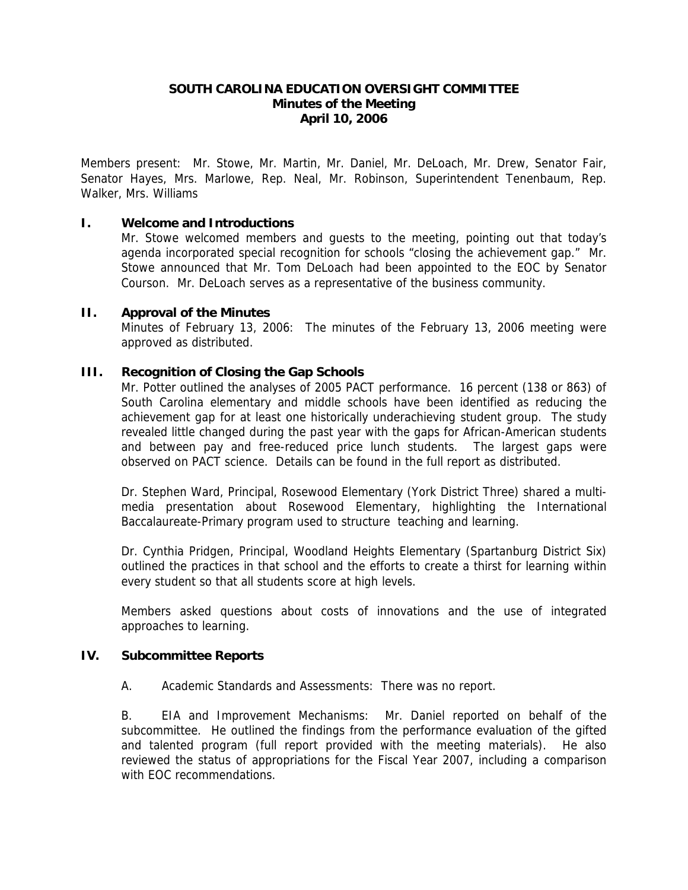#### **SOUTH CAROLINA EDUCATION OVERSIGHT COMMITTEE Minutes of the Meeting April 10, 2006**

Members present: Mr. Stowe, Mr. Martin, Mr. Daniel, Mr. DeLoach, Mr. Drew, Senator Fair, Senator Hayes, Mrs. Marlowe, Rep. Neal, Mr. Robinson, Superintendent Tenenbaum, Rep. Walker, Mrs. Williams

#### **I. Welcome and Introductions**

Mr. Stowe welcomed members and guests to the meeting, pointing out that today's agenda incorporated special recognition for schools "closing the achievement gap." Mr. Stowe announced that Mr. Tom DeLoach had been appointed to the EOC by Senator Courson. Mr. DeLoach serves as a representative of the business community.

#### **II. Approval of the Minutes**

 Minutes of February 13, 2006: The minutes of the February 13, 2006 meeting were approved as distributed.

#### **III. Recognition of Closing the Gap Schools**

 Mr. Potter outlined the analyses of 2005 PACT performance. 16 percent (138 or 863) of South Carolina elementary and middle schools have been identified as reducing the achievement gap for at least one historically underachieving student group. The study revealed little changed during the past year with the gaps for African-American students and between pay and free-reduced price lunch students. The largest gaps were observed on PACT science. Details can be found in the full report as distributed.

Dr. Stephen Ward, Principal, Rosewood Elementary (York District Three) shared a multimedia presentation about Rosewood Elementary, highlighting the International Baccalaureate-Primary program used to structure teaching and learning.

Dr. Cynthia Pridgen, Principal, Woodland Heights Elementary (Spartanburg District Six) outlined the practices in that school and the efforts to create a thirst for learning within every student so that all students score at high levels.

Members asked questions about costs of innovations and the use of integrated approaches to learning.

#### **IV. Subcommittee Reports**

A. Academic Standards and Assessments: There was no report.

 B. EIA and Improvement Mechanisms: Mr. Daniel reported on behalf of the subcommittee. He outlined the findings from the performance evaluation of the gifted and talented program (full report provided with the meeting materials). He also reviewed the status of appropriations for the Fiscal Year 2007, including a comparison with EOC recommendations.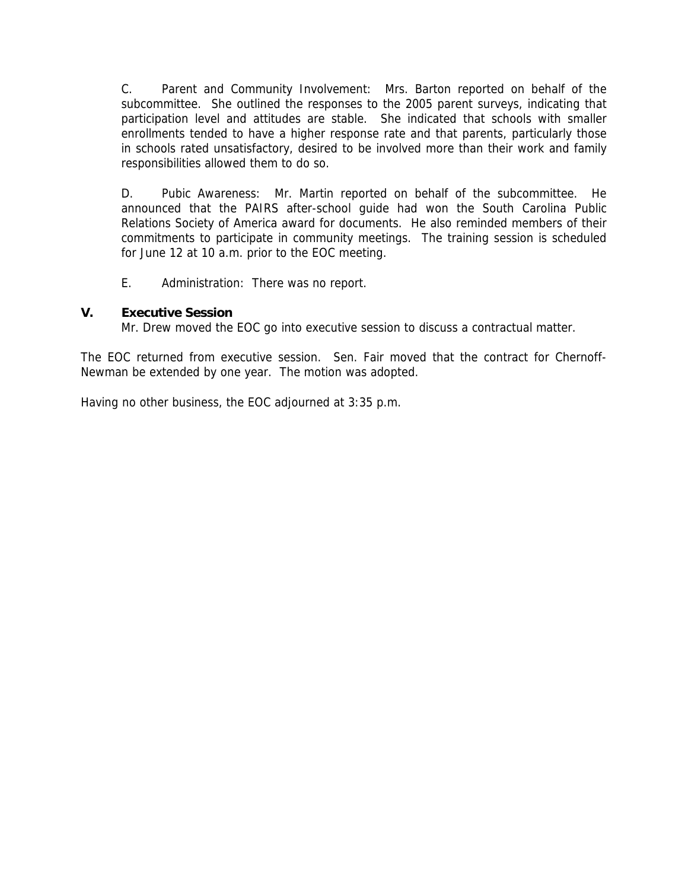C. Parent and Community Involvement: Mrs. Barton reported on behalf of the subcommittee. She outlined the responses to the 2005 parent surveys, indicating that participation level and attitudes are stable. She indicated that schools with smaller enrollments tended to have a higher response rate and that parents, particularly those in schools rated unsatisfactory, desired to be involved more than their work and family responsibilities allowed them to do so.

 D. Pubic Awareness: Mr. Martin reported on behalf of the subcommittee. He announced that the PAIRS after-school guide had won the South Carolina Public Relations Society of America award for documents. He also reminded members of their commitments to participate in community meetings. The training session is scheduled for June 12 at 10 a.m. prior to the EOC meeting.

E. Administration: There was no report.

#### **V. Executive Session**

Mr. Drew moved the EOC go into executive session to discuss a contractual matter.

The EOC returned from executive session. Sen. Fair moved that the contract for Chernoff-Newman be extended by one year. The motion was adopted.

Having no other business, the EOC adjourned at 3:35 p.m.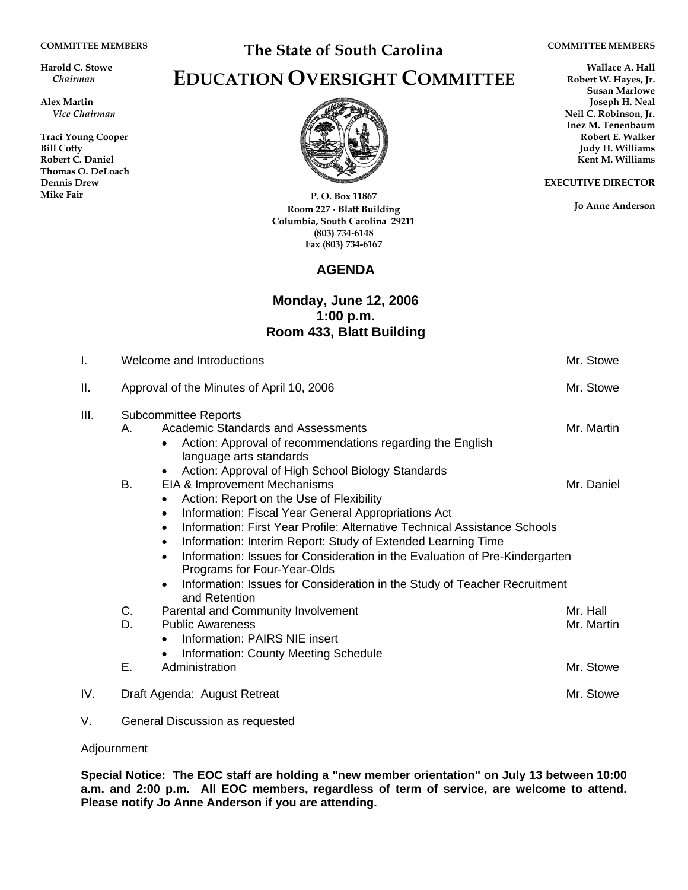**Harold C. Stowe** *Chairman* 

**Alex Martin** *Vice Chairman* 

**Traci Young Cooper Bill Cotty Robert C. Daniel Thomas O. DeLoach Dennis Drew Mike Fair** 

## **The State of South Carolina**

#### **COMMITTEE MEMBERS**

**EXECUTIVE DIRECTOR** 

**Jo Anne Anderson**

**Wallace A. Hall Robert W. Hayes, Jr. Susan Marlowe Joseph H. Neal Neil C. Robinson, Jr. Inez M. Tenenbaum Robert E. Walker Judy H. Williams Kent M. Williams** 

# **EDUCATION OVERSIGHT COMMITTEE**



**P. O. Box 11867 Room 227 · Blatt Building Columbia, South Carolina 29211 (803) 734-6148 Fax (803) 734-6167** 

### **AGENDA**

#### **Monday, June 12, 2006 1:00 p.m. Room 433, Blatt Building**

| I.   | Welcome and Introductions                 |                                                                                                                                                                                                                                                                                                                                                                                                                                                                                                                                                       | Mr. Stowe              |
|------|-------------------------------------------|-------------------------------------------------------------------------------------------------------------------------------------------------------------------------------------------------------------------------------------------------------------------------------------------------------------------------------------------------------------------------------------------------------------------------------------------------------------------------------------------------------------------------------------------------------|------------------------|
| П.   | Approval of the Minutes of April 10, 2006 |                                                                                                                                                                                                                                                                                                                                                                                                                                                                                                                                                       | Mr. Stowe              |
| III. | <b>Subcommittee Reports</b>               |                                                                                                                                                                                                                                                                                                                                                                                                                                                                                                                                                       |                        |
|      | Α.                                        | Academic Standards and Assessments<br>Action: Approval of recommendations regarding the English<br>$\bullet$<br>language arts standards<br>Action: Approval of High School Biology Standards<br>$\bullet$                                                                                                                                                                                                                                                                                                                                             | Mr. Martin             |
|      | В.                                        | EIA & Improvement Mechanisms<br>Action: Report on the Use of Flexibility<br>$\bullet$<br>Information: Fiscal Year General Appropriations Act<br>$\bullet$<br>Information: First Year Profile: Alternative Technical Assistance Schools<br>$\bullet$<br>Information: Interim Report: Study of Extended Learning Time<br>$\bullet$<br>Information: Issues for Consideration in the Evaluation of Pre-Kindergarten<br>$\bullet$<br>Programs for Four-Year-Olds<br>Information: Issues for Consideration in the Study of Teacher Recruitment<br>$\bullet$ | Mr. Daniel             |
|      | C.<br>D.                                  | and Retention<br>Parental and Community Involvement<br><b>Public Awareness</b><br>Information: PAIRS NIE insert<br>$\bullet$                                                                                                                                                                                                                                                                                                                                                                                                                          | Mr. Hall<br>Mr. Martin |
|      | Ε.                                        | Information: County Meeting Schedule<br>$\bullet$<br>Administration                                                                                                                                                                                                                                                                                                                                                                                                                                                                                   | Mr. Stowe              |
| IV.  |                                           | Draft Agenda: August Retreat                                                                                                                                                                                                                                                                                                                                                                                                                                                                                                                          | Mr. Stowe              |

V. General Discussion as requested

#### Adjournment

**Special Notice: The EOC staff are holding a "new member orientation" on July 13 between 10:00 a.m. and 2:00 p.m. All EOC members, regardless of term of service, are welcome to attend. Please notify Jo Anne Anderson if you are attending.**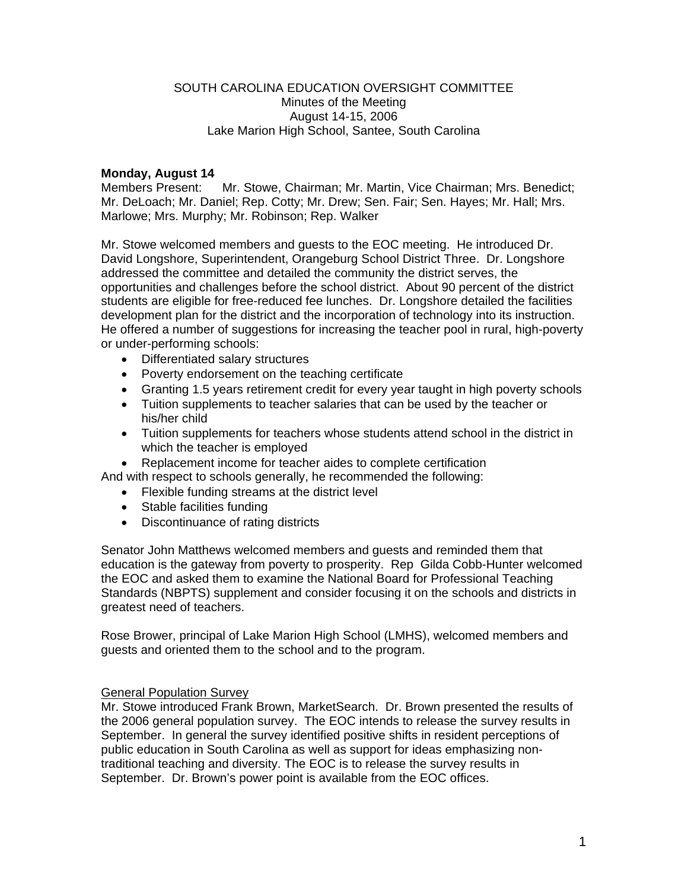#### SOUTH CAROLINA EDUCATION OVERSIGHT COMMITTEE Minutes of the Meeting August 14-15, 2006 Lake Marion High School, Santee, South Carolina

#### **Monday, August 14**

Members Present: Mr. Stowe, Chairman; Mr. Martin, Vice Chairman; Mrs. Benedict; Mr. DeLoach; Mr. Daniel; Rep. Cotty; Mr. Drew; Sen. Fair; Sen. Hayes; Mr. Hall; Mrs. Marlowe; Mrs. Murphy; Mr. Robinson; Rep. Walker

Mr. Stowe welcomed members and guests to the EOC meeting. He introduced Dr. David Longshore, Superintendent, Orangeburg School District Three. Dr. Longshore addressed the committee and detailed the community the district serves, the opportunities and challenges before the school district. About 90 percent of the district students are eligible for free-reduced fee lunches. Dr. Longshore detailed the facilities development plan for the district and the incorporation of technology into its instruction. He offered a number of suggestions for increasing the teacher pool in rural, high-poverty or under-performing schools:

- Differentiated salary structures
- Poverty endorsement on the teaching certificate
- Granting 1.5 years retirement credit for every year taught in high poverty schools
- Tuition supplements to teacher salaries that can be used by the teacher or his/her child
- Tuition supplements for teachers whose students attend school in the district in which the teacher is employed
- Replacement income for teacher aides to complete certification
- And with respect to schools generally, he recommended the following:
	- Flexible funding streams at the district level
	- Stable facilities funding
	- Discontinuance of rating districts

Senator John Matthews welcomed members and guests and reminded them that education is the gateway from poverty to prosperity. Rep Gilda Cobb-Hunter welcomed the EOC and asked them to examine the National Board for Professional Teaching Standards (NBPTS) supplement and consider focusing it on the schools and districts in greatest need of teachers.

Rose Brower, principal of Lake Marion High School (LMHS), welcomed members and guests and oriented them to the school and to the program.

#### General Population Survey

Mr. Stowe introduced Frank Brown, MarketSearch. Dr. Brown presented the results of the 2006 general population survey. The EOC intends to release the survey results in September. In general the survey identified positive shifts in resident perceptions of public education in South Carolina as well as support for ideas emphasizing nontraditional teaching and diversity. The EOC is to release the survey results in September. Dr. Brown's power point is available from the EOC offices.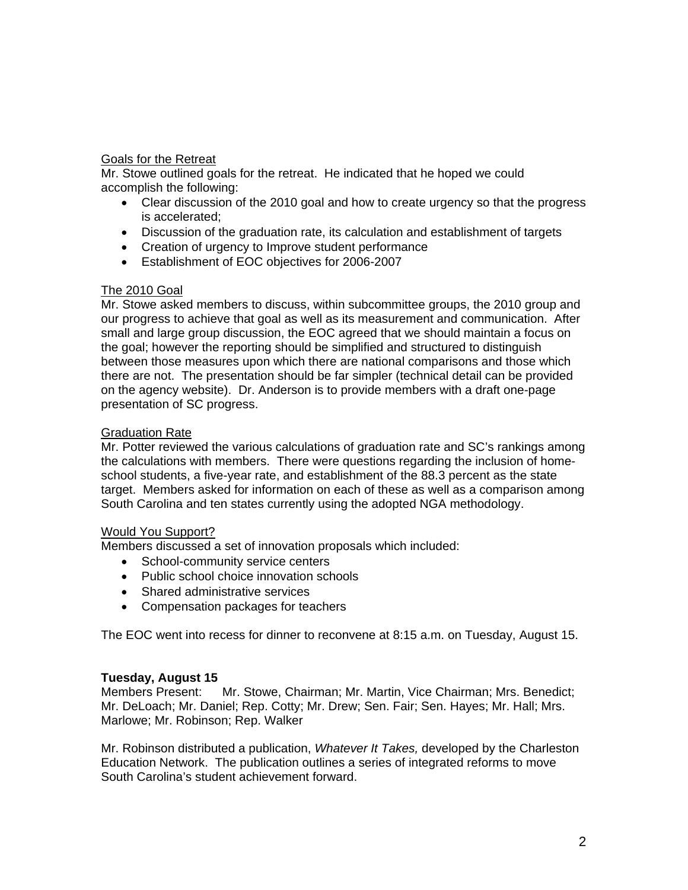#### Goals for the Retreat

Mr. Stowe outlined goals for the retreat. He indicated that he hoped we could accomplish the following:

- Clear discussion of the 2010 goal and how to create urgency so that the progress is accelerated;
- Discussion of the graduation rate, its calculation and establishment of targets
- Creation of urgency to Improve student performance
- Establishment of EOC objectives for 2006-2007

#### The 2010 Goal

Mr. Stowe asked members to discuss, within subcommittee groups, the 2010 group and our progress to achieve that goal as well as its measurement and communication. After small and large group discussion, the EOC agreed that we should maintain a focus on the goal; however the reporting should be simplified and structured to distinguish between those measures upon which there are national comparisons and those which there are not. The presentation should be far simpler (technical detail can be provided on the agency website). Dr. Anderson is to provide members with a draft one-page presentation of SC progress.

#### Graduation Rate

Mr. Potter reviewed the various calculations of graduation rate and SC's rankings among the calculations with members. There were questions regarding the inclusion of homeschool students, a five-year rate, and establishment of the 88.3 percent as the state target. Members asked for information on each of these as well as a comparison among South Carolina and ten states currently using the adopted NGA methodology.

#### Would You Support?

Members discussed a set of innovation proposals which included:

- School-community service centers
- Public school choice innovation schools
- Shared administrative services
- Compensation packages for teachers

The EOC went into recess for dinner to reconvene at 8:15 a.m. on Tuesday, August 15.

#### **Tuesday, August 15**

Members Present: Mr. Stowe, Chairman; Mr. Martin, Vice Chairman; Mrs. Benedict; Mr. DeLoach; Mr. Daniel; Rep. Cotty; Mr. Drew; Sen. Fair; Sen. Hayes; Mr. Hall; Mrs. Marlowe; Mr. Robinson; Rep. Walker

Mr. Robinson distributed a publication, *Whatever It Takes,* developed by the Charleston Education Network. The publication outlines a series of integrated reforms to move South Carolina's student achievement forward.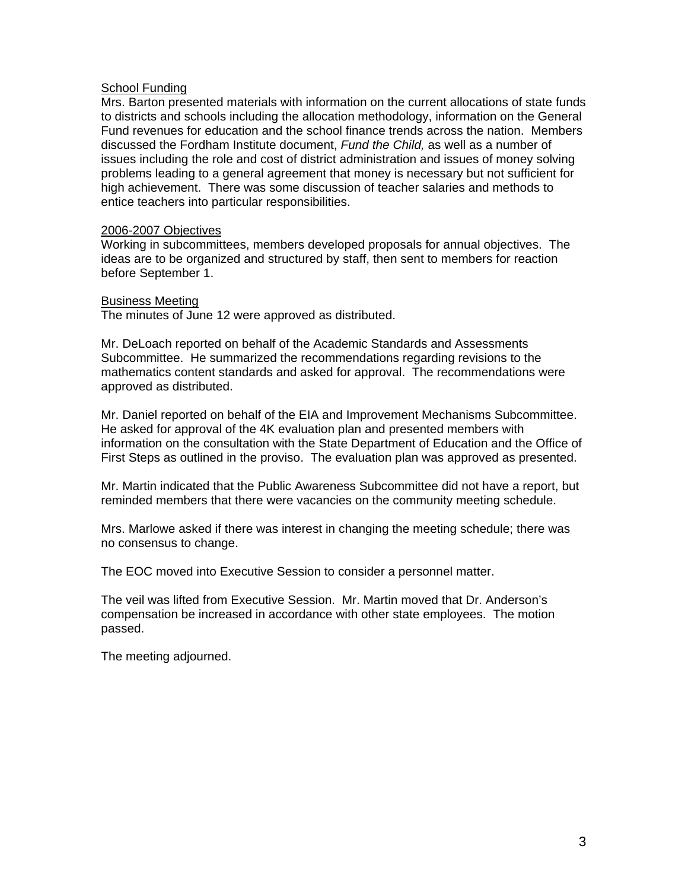#### **School Funding**

Mrs. Barton presented materials with information on the current allocations of state funds to districts and schools including the allocation methodology, information on the General Fund revenues for education and the school finance trends across the nation. Members discussed the Fordham Institute document, *Fund the Child,* as well as a number of issues including the role and cost of district administration and issues of money solving problems leading to a general agreement that money is necessary but not sufficient for high achievement. There was some discussion of teacher salaries and methods to entice teachers into particular responsibilities.

#### 2006-2007 Objectives

Working in subcommittees, members developed proposals for annual objectives. The ideas are to be organized and structured by staff, then sent to members for reaction before September 1.

#### Business Meeting

The minutes of June 12 were approved as distributed.

Mr. DeLoach reported on behalf of the Academic Standards and Assessments Subcommittee. He summarized the recommendations regarding revisions to the mathematics content standards and asked for approval. The recommendations were approved as distributed.

Mr. Daniel reported on behalf of the EIA and Improvement Mechanisms Subcommittee. He asked for approval of the 4K evaluation plan and presented members with information on the consultation with the State Department of Education and the Office of First Steps as outlined in the proviso. The evaluation plan was approved as presented.

Mr. Martin indicated that the Public Awareness Subcommittee did not have a report, but reminded members that there were vacancies on the community meeting schedule.

Mrs. Marlowe asked if there was interest in changing the meeting schedule; there was no consensus to change.

The EOC moved into Executive Session to consider a personnel matter.

The veil was lifted from Executive Session. Mr. Martin moved that Dr. Anderson's compensation be increased in accordance with other state employees. The motion passed.

The meeting adjourned.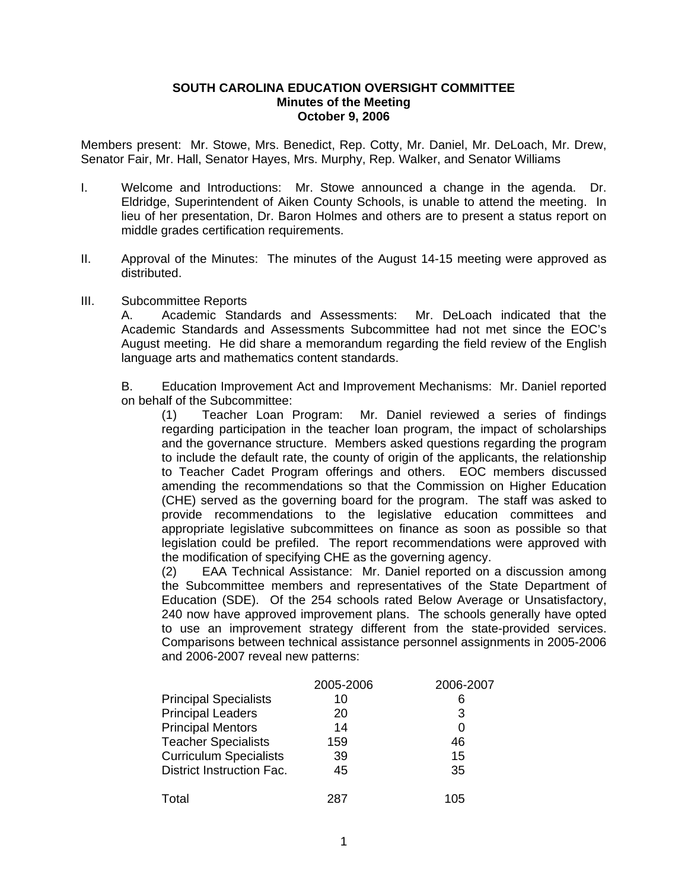#### **SOUTH CAROLINA EDUCATION OVERSIGHT COMMITTEE Minutes of the Meeting October 9, 2006**

Members present: Mr. Stowe, Mrs. Benedict, Rep. Cotty, Mr. Daniel, Mr. DeLoach, Mr. Drew, Senator Fair, Mr. Hall, Senator Hayes, Mrs. Murphy, Rep. Walker, and Senator Williams

- I. Welcome and Introductions: Mr. Stowe announced a change in the agenda. Dr. Eldridge, Superintendent of Aiken County Schools, is unable to attend the meeting. In lieu of her presentation, Dr. Baron Holmes and others are to present a status report on middle grades certification requirements.
- II. Approval of the Minutes: The minutes of the August 14-15 meeting were approved as distributed.
- III. Subcommittee Reports

A. Academic Standards and Assessments: Mr. DeLoach indicated that the Academic Standards and Assessments Subcommittee had not met since the EOC's August meeting. He did share a memorandum regarding the field review of the English language arts and mathematics content standards.

B. Education Improvement Act and Improvement Mechanisms: Mr. Daniel reported on behalf of the Subcommittee:

(1) Teacher Loan Program: Mr. Daniel reviewed a series of findings regarding participation in the teacher loan program, the impact of scholarships and the governance structure. Members asked questions regarding the program to include the default rate, the county of origin of the applicants, the relationship to Teacher Cadet Program offerings and others. EOC members discussed amending the recommendations so that the Commission on Higher Education (CHE) served as the governing board for the program. The staff was asked to provide recommendations to the legislative education committees and appropriate legislative subcommittees on finance as soon as possible so that legislation could be prefiled. The report recommendations were approved with the modification of specifying CHE as the governing agency.

(2) EAA Technical Assistance: Mr. Daniel reported on a discussion among the Subcommittee members and representatives of the State Department of Education (SDE). Of the 254 schools rated Below Average or Unsatisfactory, 240 now have approved improvement plans. The schools generally have opted to use an improvement strategy different from the state-provided services. Comparisons between technical assistance personnel assignments in 2005-2006 and 2006-2007 reveal new patterns:

|                                  | 2005-2006 | 2006-2007 |
|----------------------------------|-----------|-----------|
| <b>Principal Specialists</b>     | 10        | 6         |
| <b>Principal Leaders</b>         | 20        | 3         |
| <b>Principal Mentors</b>         | 14        | 0         |
| <b>Teacher Specialists</b>       | 159       | 46        |
| <b>Curriculum Specialists</b>    | 39        | 15        |
| <b>District Instruction Fac.</b> | 45        | 35        |
| Total                            | 287       | 105       |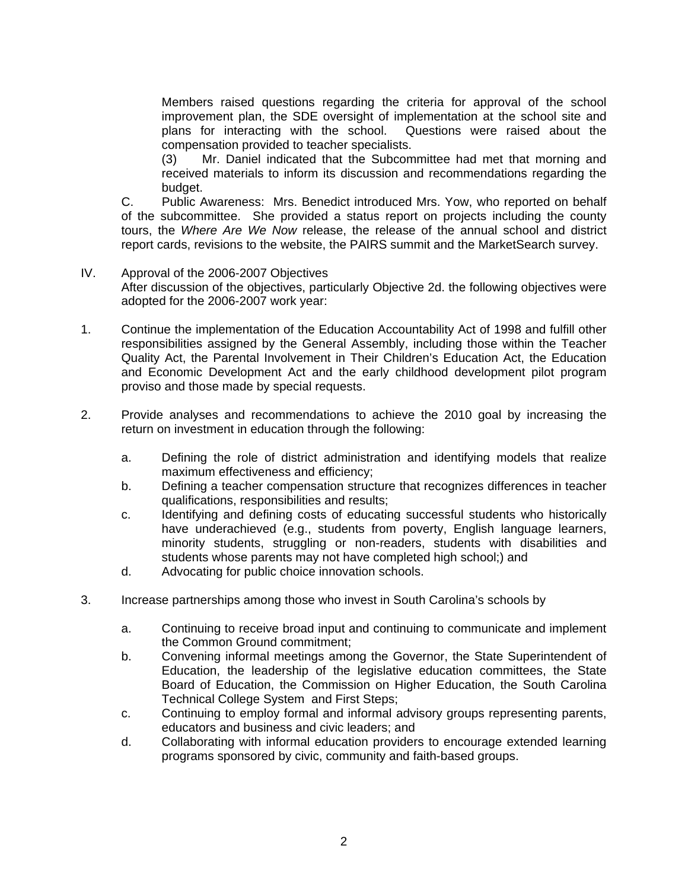Members raised questions regarding the criteria for approval of the school improvement plan, the SDE oversight of implementation at the school site and plans for interacting with the school. Questions were raised about the compensation provided to teacher specialists.

 (3) Mr. Daniel indicated that the Subcommittee had met that morning and received materials to inform its discussion and recommendations regarding the budget.

C. Public Awareness: Mrs. Benedict introduced Mrs. Yow, who reported on behalf of the subcommittee. She provided a status report on projects including the county tours, the *Where Are We Now* release, the release of the annual school and district report cards, revisions to the website, the PAIRS summit and the MarketSearch survey.

- IV. Approval of the 2006-2007 Objectives After discussion of the objectives, particularly Objective 2d. the following objectives were adopted for the 2006-2007 work year:
- 1. Continue the implementation of the Education Accountability Act of 1998 and fulfill other responsibilities assigned by the General Assembly, including those within the Teacher Quality Act, the Parental Involvement in Their Children's Education Act, the Education and Economic Development Act and the early childhood development pilot program proviso and those made by special requests.
- 2. Provide analyses and recommendations to achieve the 2010 goal by increasing the return on investment in education through the following:
	- a. Defining the role of district administration and identifying models that realize maximum effectiveness and efficiency;
	- b. Defining a teacher compensation structure that recognizes differences in teacher qualifications, responsibilities and results;
	- c. Identifying and defining costs of educating successful students who historically have underachieved (e.g., students from poverty, English language learners, minority students, struggling or non-readers, students with disabilities and students whose parents may not have completed high school;) and
	- d. Advocating for public choice innovation schools.
- 3. Increase partnerships among those who invest in South Carolina's schools by
	- a. Continuing to receive broad input and continuing to communicate and implement the Common Ground commitment;
	- b. Convening informal meetings among the Governor, the State Superintendent of Education, the leadership of the legislative education committees, the State Board of Education, the Commission on Higher Education, the South Carolina Technical College System and First Steps;
	- c. Continuing to employ formal and informal advisory groups representing parents, educators and business and civic leaders; and
	- d. Collaborating with informal education providers to encourage extended learning programs sponsored by civic, community and faith-based groups.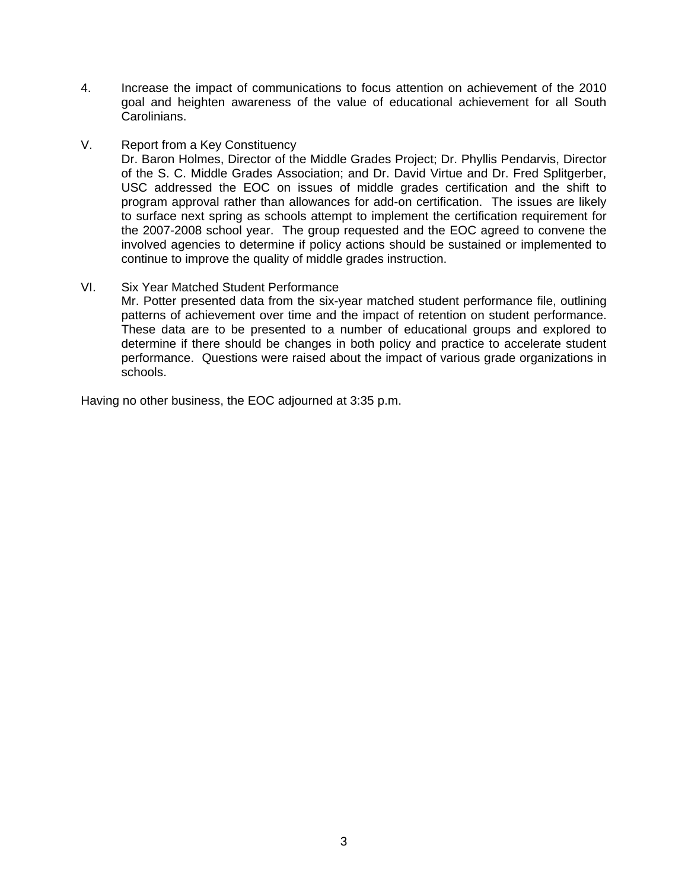- 4. Increase the impact of communications to focus attention on achievement of the 2010 goal and heighten awareness of the value of educational achievement for all South Carolinians.
- V. Report from a Key Constituency

Dr. Baron Holmes, Director of the Middle Grades Project; Dr. Phyllis Pendarvis, Director of the S. C. Middle Grades Association; and Dr. David Virtue and Dr. Fred Splitgerber, USC addressed the EOC on issues of middle grades certification and the shift to program approval rather than allowances for add-on certification. The issues are likely to surface next spring as schools attempt to implement the certification requirement for the 2007-2008 school year. The group requested and the EOC agreed to convene the involved agencies to determine if policy actions should be sustained or implemented to continue to improve the quality of middle grades instruction.

VI. Six Year Matched Student Performance

Mr. Potter presented data from the six-year matched student performance file, outlining patterns of achievement over time and the impact of retention on student performance. These data are to be presented to a number of educational groups and explored to determine if there should be changes in both policy and practice to accelerate student performance. Questions were raised about the impact of various grade organizations in schools.

Having no other business, the EOC adjourned at 3:35 p.m.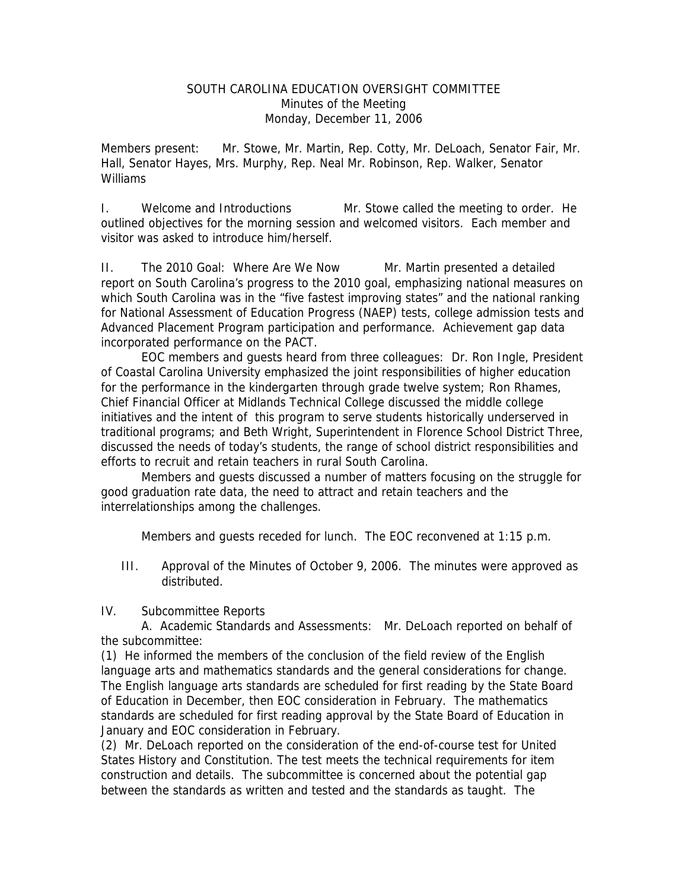#### SOUTH CAROLINA EDUCATION OVERSIGHT COMMITTEE Minutes of the Meeting Monday, December 11, 2006

Members present: Mr. Stowe, Mr. Martin, Rep. Cotty, Mr. DeLoach, Senator Fair, Mr. Hall, Senator Hayes, Mrs. Murphy, Rep. Neal Mr. Robinson, Rep. Walker, Senator Williams

I. Welcome and Introductions Mr. Stowe called the meeting to order. He outlined objectives for the morning session and welcomed visitors. Each member and visitor was asked to introduce him/herself.

II. The 2010 Goal: Where Are We Now Mr. Martin presented a detailed report on South Carolina's progress to the 2010 goal, emphasizing national measures on which South Carolina was in the "five fastest improving states" and the national ranking for National Assessment of Education Progress (NAEP) tests, college admission tests and Advanced Placement Program participation and performance. Achievement gap data incorporated performance on the PACT.

 EOC members and guests heard from three colleagues: Dr. Ron Ingle, President of Coastal Carolina University emphasized the joint responsibilities of higher education for the performance in the kindergarten through grade twelve system; Ron Rhames, Chief Financial Officer at Midlands Technical College discussed the middle college initiatives and the intent of this program to serve students historically underserved in traditional programs; and Beth Wright, Superintendent in Florence School District Three, discussed the needs of today's students, the range of school district responsibilities and efforts to recruit and retain teachers in rural South Carolina.

 Members and guests discussed a number of matters focusing on the struggle for good graduation rate data, the need to attract and retain teachers and the interrelationships among the challenges.

Members and guests receded for lunch. The EOC reconvened at 1:15 p.m.

III. Approval of the Minutes of October 9, 2006. The minutes were approved as distributed.

IV. Subcommittee Reports

 A. Academic Standards and Assessments: Mr. DeLoach reported on behalf of the subcommittee:

(1) He informed the members of the conclusion of the field review of the English language arts and mathematics standards and the general considerations for change. The English language arts standards are scheduled for first reading by the State Board of Education in December, then EOC consideration in February. The mathematics standards are scheduled for first reading approval by the State Board of Education in January and EOC consideration in February.

(2) Mr. DeLoach reported on the consideration of the end-of-course test for United States History and Constitution. The test meets the technical requirements for item construction and details. The subcommittee is concerned about the potential gap between the standards as written and tested and the standards as taught. The